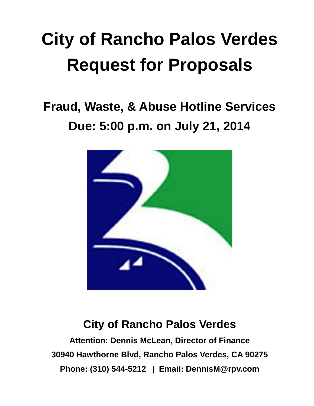# **City of Rancho Palos Verdes Request for Proposals**

## **Fraud, Waste, & Abuse Hotline Services Due: 5:00 p.m. on July 21, 2014**



### **City of Rancho Palos Verdes**

**Attention: Dennis McLean, Director of Finance 30940 Hawthorne Blvd, Rancho Palos Verdes, CA 90275 Phone: (310) 544-5212 | Email: DennisM@rpv.com**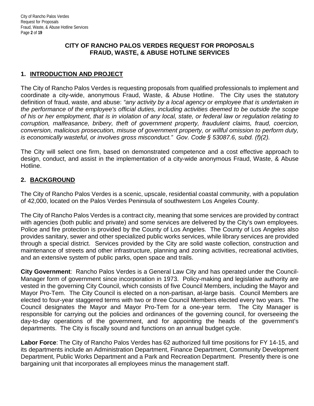#### **CITY OF RANCHO PALOS VERDES REQUEST FOR PROPOSALS FRAUD, WASTE, & ABUSE HOTLINE SERVICES**

#### **1. INTRODUCTION AND PROJECT**

The City of Rancho Palos Verdes is requesting proposals from qualified professionals to implement and coordinate a city-wide, anonymous Fraud, Waste, & Abuse Hotline. The City uses the statutory definition of fraud, waste, and abuse: *"any activity by a local agency or employee that is undertaken in the performance of the employee's official duties, including activities deemed to be outside the scope of his or her employment, that is in violation of any local, state, or federal law or regulation relating to corruption, malfeasance, bribery, theft of government property, fraudulent claims, fraud, coercion, conversion, malicious prosecution, misuse of government property, or willful omission to perform duty, is economically wasteful, or involves gross misconduct." Gov. Code § 53087.6, subd. (f)(2).*

The City will select one firm, based on demonstrated competence and a cost effective approach to design, conduct, and assist in the implementation of a city-wide anonymous Fraud, Waste, & Abuse Hotline.

#### **2. BACKGROUND**

The City of Rancho Palos Verdes is a scenic, upscale, residential coastal community, with a population of 42,000, located on the Palos Verdes Peninsula of southwestern Los Angeles County.

The City of Rancho Palos Verdes is a contract city, meaning that some services are provided by contract with agencies (both public and private) and some services are delivered by the City's own employees. Police and fire protection is provided by the County of Los Angeles. The County of Los Angeles also provides sanitary, sewer and other specialized public works services, while library services are provided through a special district. Services provided by the City are solid waste collection, construction and maintenance of streets and other infrastructure, planning and zoning activities, recreational activities, and an extensive system of public parks, open space and trails.

**City Government**: Rancho Palos Verdes is a General Law City and has operated under the Council-Manager form of government since incorporation in 1973. Policy-making and legislative authority are vested in the governing City Council, which consists of five Council Members, including the Mayor and Mayor Pro-Tem. The City Council is elected on a non-partisan, at-large basis. Council Members are elected to four-year staggered terms with two or three Council Members elected every two years. The Council designates the Mayor and Mayor Pro-Tem for a one-year term. The City Manager is responsible for carrying out the policies and ordinances of the governing council, for overseeing the day-to-day operations of the government, and for appointing the heads of the government's departments. The City is fiscally sound and functions on an annual budget cycle.

**Labor Force**: The City of Rancho Palos Verdes has 62 authorized full time positions for FY 14-15, and its departments include an Administration Department, Finance Department, Community Development Department, Public Works Department and a Park and Recreation Department. Presently there is one bargaining unit that incorporates all employees minus the management staff.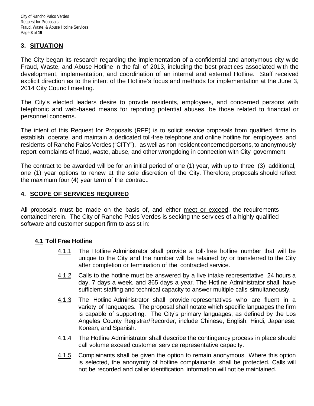City of Rancho Palos Verdes Request for Proposals Fraud, Waste, & Abuse Hotline Services Page **3** of **19**

#### **3. SITUATION**

The City began its research regarding the implementation of a confidential and anonymous city-wide Fraud, Waste, and Abuse Hotline in the fall of 2013, including the best practices associated with the development, implementation, and coordination of an internal and external Hotline. Staff received explicit direction as to the intent of the Hotline's focus and methods for implementation at the June 3, 2014 City Council meeting.

The City's elected leaders desire to provide residents, employees, and concerned persons with telephonic and web-based means for reporting potential abuses, be those related to financial or personnel concerns.

The intent of this Request for Proposals (RFP) is to solicit service proposals from qualified firms to establish, operate, and maintain a dedicated toll-free telephone and online hotline for employees and residents of Rancho Palos Verdes ("CITY"), as well as non-resident concerned persons, to anonymously report complaints of fraud, waste, abuse, and other wrongdoing in connection with City government.

The contract to be awarded will be for an initial period of one (1) year, with up to three (3) additional, one (1) year options to renew at the sole discretion of the City. Therefore, proposals should reflect the maximum four (4) year term of the contract.

#### **4. SCOPE OF SERVICES REQUIRED**

All proposals must be made on the basis of, and either meet or exceed, the requirements contained herein. The City of Rancho Palos Verdes is seeking the services of a highly qualified software and customer support firm to assist in:

#### **4.1 Toll Free Hotline**

- 4.1.1 The Hotline Administrator shall provide a toll-free hotline number that will be unique to the City and the number will be retained by or transferred to the City after completion or termination of the contracted service.
- 4.1.2 Calls to the hotline must be answered by a live intake representative 24 hours a day, 7 days a week, and 365 days a year. The Hotline Administrator shall have sufficient staffing and technical capacity to answer multiple calls simultaneously.
- 4.1.3 The Hotline Administrator shall provide representatives who are fluent in a variety of languages. The proposal shall notate which specific languages the firm is capable of supporting. The City's primary languages, as defined by the Los Angeles County Registrar/Recorder, include Chinese, English, Hindi, Japanese, Korean, and Spanish.
- 4.1.4 The Hotline Administrator shall describe the contingency process in place should call volume exceed customer service representative capacity.
- 4.1.5 Complainants shall be given the option to remain anonymous. Where this option is selected, the anonymity of hotline complainants shall be protected. Calls will not be recorded and caller identification information will not be maintained.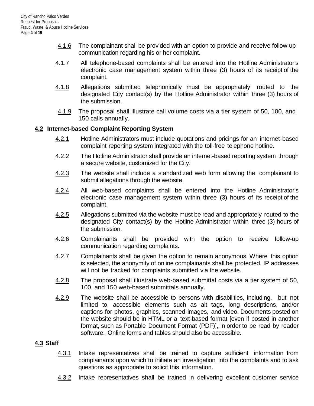- 4.1.6 The complainant shall be provided with an option to provide and receive follow-up communication regarding his or her complaint.
- 4.1.7 All telephone-based complaints shall be entered into the Hotline Administrator's electronic case management system within three (3) hours of its receipt of the complaint.
- 4.1.8 Allegations submitted telephonically must be appropriately routed to the designated City contact(s) by the Hotline Administrator within three (3) hours of the submission.
- 4.1.9 The proposal shall illustrate call volume costs via a tier system of 50, 100, and 150 calls annually.

#### **4.2 Internet-based Complaint Reporting System**

- 4.2.1 Hotline Administrators must include quotations and pricings for an internet-based complaint reporting system integrated with the toll-free telephone hotline.
- 4.2.2 The Hotline Administrator shall provide an internet-based reporting system through a secure website, customized for the City.
- 4.2.3 The website shall include a standardized web form allowing the complainant to submit allegations through the website.
- 4.2.4 All web-based complaints shall be entered into the Hotline Administrator's electronic case management system within three (3) hours of its receipt of the complaint.
- 4.2.5 Allegations submitted via the website must be read and appropriately routed to the designated City contact(s) by the Hotline Administrator within three (3) hours of the submission.
- 4.2.6 Complainants shall be provided with the option to receive follow-up communication regarding complaints.
- 4.2.7 Complainants shall be given the option to remain anonymous. Where this option is selected, the anonymity of online complainants shall be protected. IP addresses will not be tracked for complaints submitted via the website.
- 4.2.8 The proposal shall illustrate web-based submittal costs via a tier system of 50, 100, and 150 web-based submittals annually.
- 4.2.9 The website shall be accessible to persons with disabilities, including, but not limited to, accessible elements such as alt tags, long descriptions, and/or captions for photos, graphics, scanned images, and video. Documents posted on the website should be in HTML or a text-based format [even if posted in another format, such as Portable Document Format (PDF)], in order to be read by reader software. Online forms and tables should also be accessible.

#### **4.3 Staff**

- 4.3.1 Intake representatives shall be trained to capture sufficient information from complainants upon which to initiate an investigation into the complaints and to ask questions as appropriate to solicit this information.
- 4.3.2 Intake representatives shall be trained in delivering excellent customer service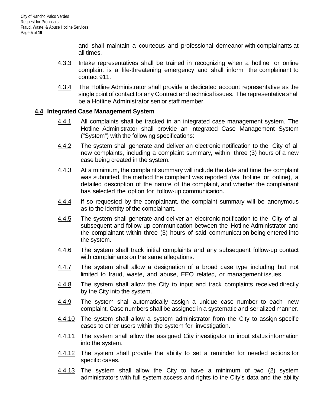and shall maintain a courteous and professional demeanor with complainants at all times.

- 4.3.3 Intake representatives shall be trained in recognizing when a hotline or online complaint is a life-threatening emergency and shall inform the complainant to contact 911.
- 4.3.4 The Hotline Administrator shall provide a dedicated account representative as the single point of contact for any Contract and technical issues. The representative shall be a Hotline Administrator senior staff member.

#### **4.4 Integrated Case Management System**

- 4.4.1 All complaints shall be tracked in an integrated case management system. The Hotline Administrator shall provide an integrated Case Management System ("System") with the following specifications:
- 4.4.2 The system shall generate and deliver an electronic notification to the City of all new complaints, including a complaint summary, within three (3) hours of a new case being created in the system.
- 4.4.3 At a minimum, the complaint summary will include the date and time the complaint was submitted, the method the complaint was reported (via hotline or online), a detailed description of the nature of the complaint, and whether the complainant has selected the option for follow-up communication.
- 4.4.4 If so requested by the complainant, the complaint summary will be anonymous as to the identity of the complainant.
- 4.4.5 The system shall generate and deliver an electronic notification to the City of all subsequent and follow up communication between the Hotline Administrator and the complainant within three (3) hours of said communication being entered into the system.
- 4.4.6 The system shall track initial complaints and any subsequent follow-up contact with complainants on the same allegations.
- 4.4.7 The system shall allow a designation of a broad case type including but not limited to fraud, waste, and abuse, EEO related, or management issues.
- 4.4.8 The system shall allow the City to input and track complaints received directly by the City into the system.
- 4.4.9 The system shall automatically assign a unique case number to each new complaint. Case numbers shall be assigned in a systematic and serialized manner.
- 4.4.10 The system shall allow a system administrator from the City to assign specific cases to other users within the system for investigation.
- 4.4.11 The system shall allow the assigned City investigator to input status information into the system.
- 4.4.12 The system shall provide the ability to set a reminder for needed actions for specific cases.
- 4.4.13 The system shall allow the City to have a minimum of two (2) system administrators with full system access and rights to the City's data and the ability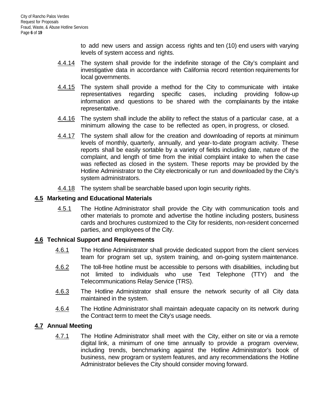to add new users and assign access rights and ten (10) end users with varying levels of system access and rights.

- 4.4.14 The system shall provide for the indefinite storage of the City's complaint and investigative data in accordance with California record retention requirements for local governments.
- 4.4.15 The system shall provide a method for the City to communicate with intake representatives regarding specific cases, including providing follow-up information and questions to be shared with the complainants by the intake representative.
- 4.4.16 The system shall include the ability to reflect the status of a particular case, at a minimum allowing the case to be reflected as open, in progress, or closed.
- 4.4.17 The system shall allow for the creation and downloading of reports at minimum levels of monthly, quarterly, annually, and year-to-date program activity. These reports shall be easily sortable by a variety of fields including date, nature of the complaint, and length of time from the initial complaint intake to when the case was reflected as closed in the system. These reports may be provided by the Hotline Administrator to the City electronically or run and downloaded by the City's system administrators.
- 4.4.18 The system shall be searchable based upon login security rights.

#### **4.5 Marketing and Educational Materials**

4.5.1 The Hotline Administrator shall provide the City with communication tools and other materials to promote and advertise the hotline including posters, business cards and brochures customized to the City for residents, non-resident concerned parties, and employees of the City.

#### **4.6 Technical Support and Requirements**

- 4.6.1 The Hotline Administrator shall provide dedicated support from the client services team for program set up, system training, and on-going system maintenance.
- 4.6.2 The toll-free hotline must be accessible to persons with disabilities, including but not limited to individuals who use Text Telephone (TTY) and the Telecommunications Relay Service (TRS).
- 4.6.3 The Hotline Administrator shall ensure the network security of all City data maintained in the system.
- 4.6.4 The Hotline Administrator shall maintain adequate capacity on its network during the Contract term to meet the City's usage needs.

#### **4.7 Annual Meeting**

4.7.1 The Hotline Administrator shall meet with the City, either on site or via a remote digital link, a minimum of one time annually to provide a program overview, including trends, benchmarking against the Hotline Administrator's book of business, new program or system features, and any recommendations the Hotline Administrator believes the City should consider moving forward.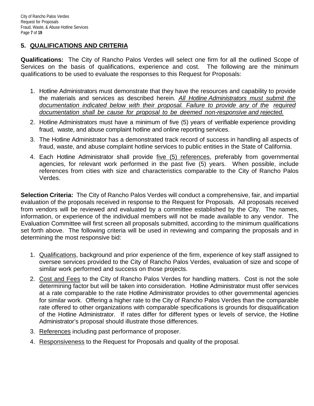#### **5. QUALIFICATIONS AND CRITERIA**

**Qualifications:** The City of Rancho Palos Verdes will select one firm for all the outlined Scope of Services on the basis of qualifications, experience and cost. The following are the minimum qualifications to be used to evaluate the responses to this Request for Proposals:

- 1. Hotline Administrators must demonstrate that they have the resources and capability to provide the materials and services as described herein*. All Hotline Administrators must submit the documentation indicated below with their proposal. Failure to provide any of the required documentation shall be cause for proposal to be deemed non-responsive and rejected.*
- 2. Hotline Administrators must have a minimum of five (5) years of verifiable experience providing fraud, waste, and abuse complaint hotline and online reporting services.
- 3. The Hotline Administrator has a demonstrated track record of success in handling all aspects of fraud, waste, and abuse complaint hotline services to public entities in the State of California.
- 4. Each Hotline Administrator shall provide five (5) references, preferably from governmental agencies, for relevant work performed in the past five (5) years. When possible, include references from cities with size and characteristics comparable to the City of Rancho Palos Verdes.

**Selection Criteria:** The City of Rancho Palos Verdes will conduct a comprehensive, fair, and impartial evaluation of the proposals received in response to the Request for Proposals. All proposals received from vendors will be reviewed and evaluated by a committee established by the City. The names, information, or experience of the individual members will not be made available to any vendor. The Evaluation Committee will first screen all proposals submitted, according to the minimum qualifications set forth above. The following criteria will be used in reviewing and comparing the proposals and in determining the most responsive bid:

- 1. Qualifications, background and prior experience of the firm, experience of key staff assigned to oversee services provided to the City of Rancho Palos Verdes, evaluation of size and scope of similar work performed and success on those projects.
- 2. Cost and Fees to the City of Rancho Palos Verdes for handling matters. Cost is not the sole determining factor but will be taken into consideration. Hotline Administrator must offer services at a rate comparable to the rate Hotline Administrator provides to other governmental agencies for similar work. Offering a higher rate to the City of Rancho Palos Verdes than the comparable rate offered to other organizations with comparable specifications is grounds for disqualification of the Hotline Administrator. If rates differ for different types or levels of service, the Hotline Administrator's proposal should illustrate those differences.
- 3. References including past performance of proposer.
- 4. Responsiveness to the Request for Proposals and quality of the proposal.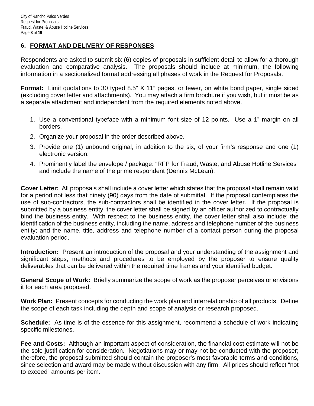#### **6. FORMAT AND DELIVERY OF RESPONSES**

Respondents are asked to submit six (6) copies of proposals in sufficient detail to allow for a thorough evaluation and comparative analysis. The proposals should include at minimum, the following information in a sectionalized format addressing all phases of work in the Request for Proposals.

**Format:** Limit quotations to 30 typed 8.5" X 11" pages, or fewer, on white bond paper, single sided (excluding cover letter and attachments). You may attach a firm brochure if you wish, but it must be as a separate attachment and independent from the required elements noted above.

- 1. Use a conventional typeface with a minimum font size of 12 points. Use a 1" margin on all borders.
- 2. Organize your proposal in the order described above.
- 3. Provide one (1) unbound original, in addition to the six, of your firm's response and one (1) electronic version.
- 4. Prominently label the envelope / package: "RFP for Fraud, Waste, and Abuse Hotline Services" and include the name of the prime respondent (Dennis McLean).

**Cover Letter:** All proposals shall include a cover letter which states that the proposal shall remain valid for a period not less that ninety (90) days from the date of submittal. If the proposal contemplates the use of sub-contractors, the sub-contractors shall be identified in the cover letter. If the proposal is submitted by a business entity, the cover letter shall be signed by an officer authorized to contractually bind the business entity. With respect to the business entity, the cover letter shall also include: the identification of the business entity, including the name, address and telephone number of the business entity; and the name, title, address and telephone number of a contact person during the proposal evaluation period.

**Introduction:** Present an introduction of the proposal and your understanding of the assignment and significant steps, methods and procedures to be employed by the proposer to ensure quality deliverables that can be delivered within the required time frames and your identified budget.

**General Scope of Work:** Briefly summarize the scope of work as the proposer perceives or envisions it for each area proposed.

**Work Plan:** Present concepts for conducting the work plan and interrelationship of all products. Define the scope of each task including the depth and scope of analysis or research proposed.

**Schedule:** As time is of the essence for this assignment, recommend a schedule of work indicating specific milestones.

**Fee and Costs:** Although an important aspect of consideration, the financial cost estimate will not be the sole justification for consideration. Negotiations may or may not be conducted with the proposer; therefore, the proposal submitted should contain the proposer's most favorable terms and conditions, since selection and award may be made without discussion with any firm. All prices should reflect "not to exceed" amounts per item.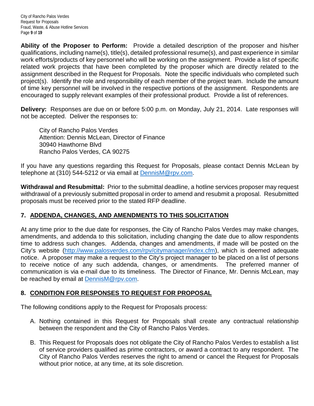**Ability of the Proposer to Perform:** Provide a detailed description of the proposer and his/her qualifications, including name(s), title(s), detailed professional resume(s), and past experience in similar work efforts/products of key personnel who will be working on the assignment. Provide a list of specific related work projects that have been completed by the proposer which are directly related to the assignment described in the Request for Proposals. Note the specific individuals who completed such project(s). Identify the role and responsibility of each member of the project team. Include the amount of time key personnel will be involved in the respective portions of the assignment. Respondents are encouraged to supply relevant examples of their professional product. Provide a list of references.

**Delivery:** Responses are due on or before 5:00 p.m. on Monday, July 21, 2014. Late responses will not be accepted. Deliver the responses to:

City of Rancho Palos Verdes Attention: Dennis McLean, Director of Finance 30940 Hawthorne Blvd Rancho Palos Verdes, CA 90275

If you have any questions regarding this Request for Proposals, please contact Dennis McLean by telephone at (310) 544-5212 or via email at [DennisM@rpv.com.](mailto:DennisM@rpv.com)

**Withdrawal and Resubmittal:** Prior to the submittal deadline, a hotline services proposer may request withdrawal of a previously submitted proposal in order to amend and resubmit a proposal. Resubmitted proposals must be received prior to the stated RFP deadline.

#### **7. ADDENDA, CHANGES, AND AMENDMENTS TO THIS SOLICITATION**

At any time prior to the due date for responses, the City of Rancho Palos Verdes may make changes, amendments, and addenda to this solicitation, including changing the date due to allow respondents time to address such changes. Addenda, changes and amendments, if made will be posted on the City's website [\(http://www.palosverdes.com/rpv/citymanager/index.cfm\)](http://www.palosverdes.com/rpv/citymanager/index.cfm), which is deemed adequate notice. A proposer may make a request to the City's project manager to be placed on a list of persons to receive notice of any such addenda, changes, or amendments. The preferred manner of communication is via e-mail due to its timeliness. The Director of Finance, Mr. Dennis McLean, may be reached by email at [DennisM@rpv.com.](mailto:DennisM@rpv.com)

#### **8. CONDITION FOR RESPONSES TO REQUEST FOR PROPOSAL**

The following conditions apply to the Request for Proposals process:

- A. Nothing contained in this Request for Proposals shall create any contractual relationship between the respondent and the City of Rancho Palos Verdes.
- B. This Request for Proposals does not obligate the City of Rancho Palos Verdes to establish a list of service providers qualified as prime contractors, or award a contract to any respondent. The City of Rancho Palos Verdes reserves the right to amend or cancel the Request for Proposals without prior notice, at any time, at its sole discretion.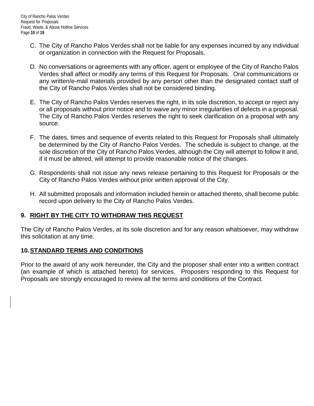- C. The City of Rancho Palos Verdes shall not be liable for any expenses incurred by any individual or organization in connection with the Request for Proposals.
- D. No conversations or agreements with any officer, agent or employee of the City of Rancho Palos Verdes shall affect or modify any terms of this Request for Proposals. Oral communications or any written/e-mail materials provided by any person other than the designated contact staff of the City of Rancho Palos Verdes shall not be considered binding.
- E. The City of Rancho Palos Verdes reserves the right, in its sole discretion, to accept or reject any or all proposals without prior notice and to waive any minor irregularities of defects in a proposal. The City of Rancho Palos Verdes reserves the right to seek clarification on a proposal with any source.
- F. The dates, times and sequence of events related to this Request for Proposals shall ultimately be determined by the City of Rancho Palos Verdes. The schedule is subject to change, at the sole discretion of the City of Rancho Palos Verdes, although the City will attempt to follow it and, if it must be altered, will attempt to provide reasonable notice of the changes.
- G. Respondents shall not issue any news release pertaining to this Request for Proposals or the City of Rancho Palos Verdes without prior written approval of the City.
- H. All submitted proposals and information included herein or attached thereto, shall become public record upon delivery to the City of Rancho Palos Verdes.

#### **9. RIGHT BY THE CITY TO WITHDRAW THIS REQUEST**

The City of Rancho Palos Verdes, at its sole discretion and for any reason whatsoever, may withdraw this solicitation at any time.

#### **10.STANDARD TERMS AND CONDITIONS**

Prior to the award of any work hereunder, the City and the proposer shall enter into a written contract (an example of which is attached hereto) for services. Proposers responding to this Request for Proposals are strongly encouraged to review all the terms and conditions of the Contract.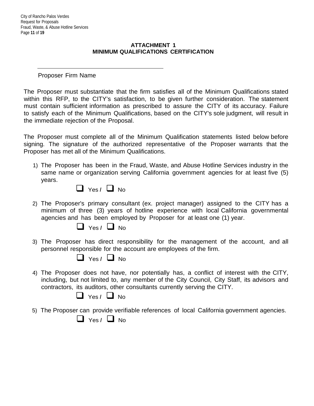#### **ATTACHMENT 1 MINIMUM QUALIFICATIONS CERTIFICATION**

Proposer Firm Name

The Proposer must substantiate that the firm satisfies all of the Minimum Qualifications stated within this RFP, to the CITY's satisfaction, to be given further consideration. The statement must contain sufficient information as prescribed to assure the CITY of its accuracy. Failure to satisfy each of the Minimum Qualifications, based on the CITY's sole judgment, will result in the immediate rejection of the Proposal.

The Proposer must complete all of the Minimum Qualification statements listed below before signing. The signature of the authorized representative of the Proposer warrants that the Proposer has met all of the Minimum Qualifications.

1) The Proposer has been in the Fraud, Waste, and Abuse Hotline Services industry in the same name or organization serving California government agencies for at least five (5) years.

| TAS |  | N٥ |
|-----|--|----|
|-----|--|----|

2) The Proposer's primary consultant (ex. project manager) assigned to the CITY has a minimum of three (3) years of hotline experience with local California governmental agencies and has been employed by Proposer for at least one (1) year.



3) The Proposer has direct responsibility for the management of the account, and all personnel responsible for the account are employees of the firm.



4) The Proposer does not have, nor potentially has, a conflict of interest with the CITY, including, but not limited to, any member of the City Council, City Staff, its advisors and contractors, its auditors, other consultants currently serving the CITY.



5) The Proposer can provide verifiable references of local California government agencies.

 $\Box$  Yes /  $\Box$  No.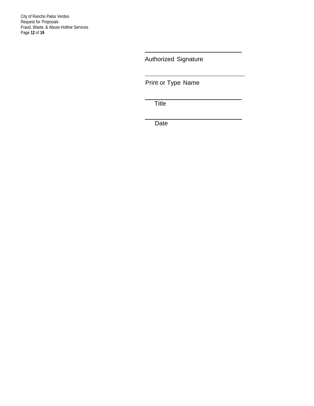City of Rancho Palos Verdes Request for Proposals Fraud, Waste, & Abuse Hotline Services Page **12** of **19**

Authorized Signature

Print or Type Name

**Title** 

**Date**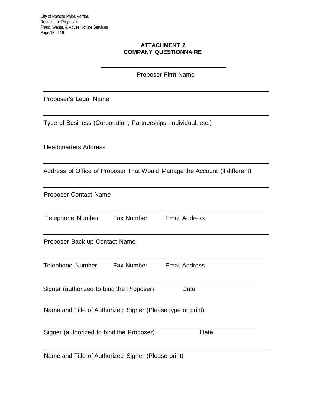#### **ATTACHMENT 2 COMPANY QUESTIONNAIRE**

Proposer Firm Name

Proposer's Legal Name

Type of Business (Corporation, Partnerships, Individual, etc.)

Headquarters Address

Address of Office of Proposer That Would Manage the Account (if different)

Proposer Contact Name

Telephone Number Fax Number Email Address

Proposer Back-up Contact Name

Telephone Number Fax Number Email Address

Signer (authorized to bind the Proposer) Date

Name and Title of Authorized Signer (Please type or print)

Signer (authorized to bind the Proposer) Date

Name and Title of Authorized Signer (Please print)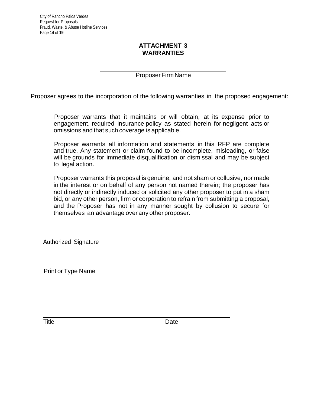City of Rancho Palos Verdes Request for Proposals Fraud, Waste, & Abuse Hotline Services Page **14** of **19**

#### **ATTACHMENT 3 WARRANTIES**

Proposer Firm Name

Proposer agrees to the incorporation of the following warranties in the proposed engagement:

Proposer warrants that it maintains or will obtain, at its expense prior to engagement, required insurance policy as stated herein for negligent acts or omissions and that such coverage is applicable.

Proposer warrants all information and statements in this RFP are complete and true. Any statement or claim found to be incomplete, misleading, or false will be grounds for immediate disqualification or dismissal and may be subject to legal action.

Proposer warrants this proposal is genuine, and not sham or collusive, nor made in the interest or on behalf of any person not named therein; the proposer has not directly or indirectly induced or solicited any other proposer to put in a sham bid, or any other person, firm or corporation to refrain from submitting a proposal, and the Proposer has not in any manner sought by collusion to secure for themselves an advantage over any other proposer.

Authorized Signature

Print or Type Name

Title **Date**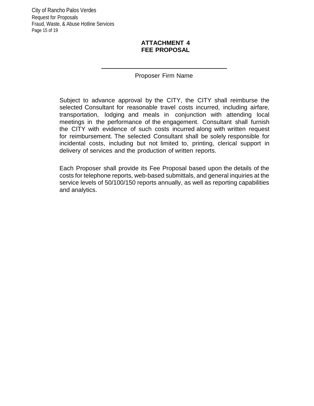City of Rancho Palos Verdes Request for Proposals Fraud, Waste, & Abuse Hotline Services Page 15 of 19

#### **ATTACHMENT 4 FEE PROPOSAL**

Proposer Firm Name

Subject to advance approval by the CITY, the CITY shall reimburse the selected Consultant for reasonable travel costs incurred, including airfare, transportation, lodging and meals in conjunction with attending local meetings in the performance of the engagement. Consultant shall furnish the CITY with evidence of such costs incurred along with written request for reimbursement. The selected Consultant shall be solely responsible for incidental costs, including but not limited to, printing, clerical support in delivery of services and the production of written reports.

Each Proposer shall provide its Fee Proposal based upon the details of the costs for telephone reports, web-based submittals, and general inquiries at the service levels of 50/100/150 reports annually, as well as reporting capabilities and analytics.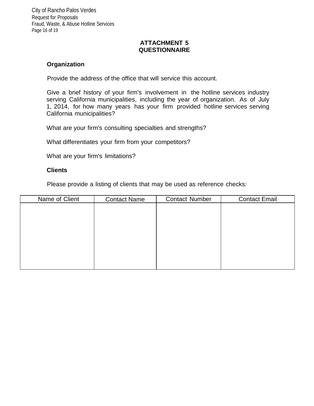City of Rancho Palos Verdes Request for Proposals Fraud, Waste, & Abuse Hotline Services Page 16 of 19

#### **ATTACHMENT 5 QUESTIONNAIRE**

#### **Organization**

Provide the address of the office that will service this account.

Give a brief history of your firm's involvement in the hotline services industry serving California municipalities, including the year of organization. As of July 1, 2014, for how many years has your firm provided hotline services serving California municipalities?

What are your firm's consulting specialties and strengths?

What differentiates your firm from your competitors?

What are your firm's limitations?

#### **Clients**

Please provide a listing of clients that may be used as reference checks:

| Name of Client | <b>Contact Name</b> | <b>Contact Number</b> | <b>Contact Email</b> |
|----------------|---------------------|-----------------------|----------------------|
|                |                     |                       |                      |
|                |                     |                       |                      |
|                |                     |                       |                      |
|                |                     |                       |                      |
|                |                     |                       |                      |
|                |                     |                       |                      |
|                |                     |                       |                      |
|                |                     |                       |                      |
|                |                     |                       |                      |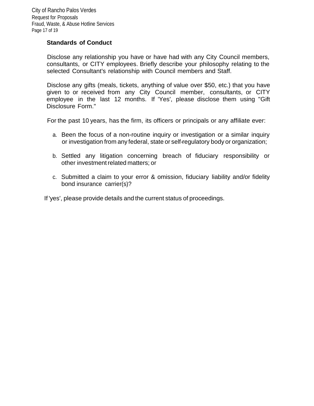City of Rancho Palos Verdes Request for Proposals Fraud, Waste, & Abuse Hotline Services Page 17 of 19

#### **Standards of Conduct**

Disclose any relationship you have or have had with any City Council members, consultants, or CITY employees. Briefly describe your philosophy relating to the selected Consultant's relationship with Council members and Staff.

Disclose any gifts (meals, tickets, anything of value over \$50, etc.) that you have given to or received from any City Council member, consultants, or CITY employee in the last 12 months. If 'Yes', please disclose them using "Gift Disclosure Form."

For the past 10 years, has the firm, its officers or principals or any affiliate ever:

- a. Been the focus of a non-routine inquiry or investigation or a similar inquiry or investigation from any federal, state or self-regulatory body or organization;
- b. Settled any litigation concerning breach of fiduciary responsibility or other investment related matters; or
- c. Submitted a claim to your error & omission, fiduciary liability and/or fidelity bond insurance carrier(s)?

If 'yes', please provide details and the current status of proceedings.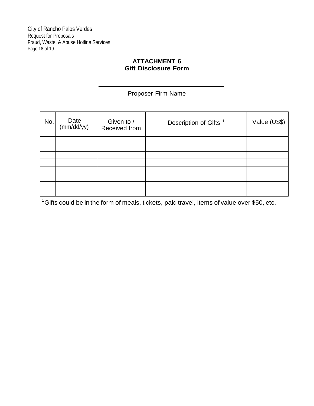City of Rancho Palos Verdes Request for Proposals Fraud, Waste, & Abuse Hotline Services Page 18 of 19

#### **ATTACHMENT 6 Gift Disclosure Form**

#### Proposer Firm Name

| No. | Date<br>(mm/dd/yy) | Given to /<br>Received from | Description of Gifts <sup>1</sup> | Value (US\$) |
|-----|--------------------|-----------------------------|-----------------------------------|--------------|
|     |                    |                             |                                   |              |
|     |                    |                             |                                   |              |
|     |                    |                             |                                   |              |
|     |                    |                             |                                   |              |
|     |                    |                             |                                   |              |
|     |                    |                             |                                   |              |
|     |                    |                             |                                   |              |
|     |                    |                             |                                   |              |

 $1$ Gifts could be in the form of meals, tickets, paid travel, items of value over \$50, etc.